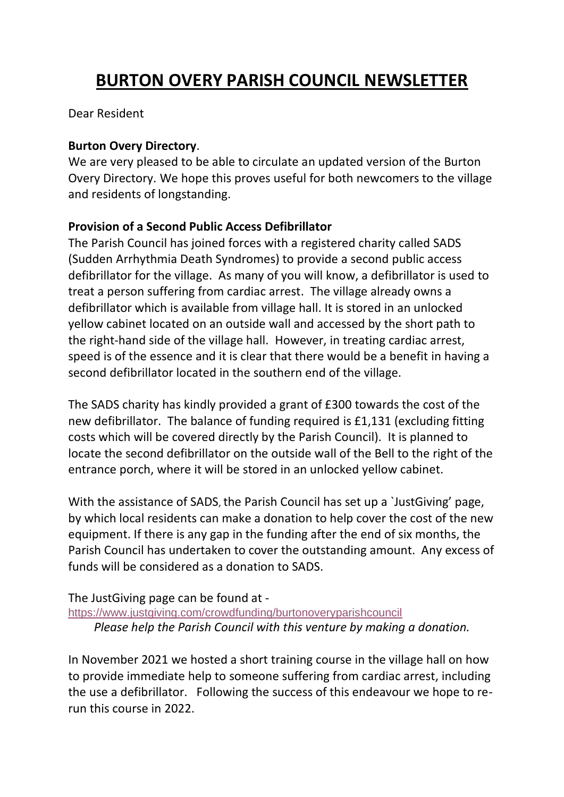# **BURTON OVERY PARISH COUNCIL NEWSLETTER**

Dear Resident

## **Burton Overy Directory**.

We are very pleased to be able to circulate an updated version of the Burton Overy Directory. We hope this proves useful for both newcomers to the village and residents of longstanding.

# **Provision of a Second Public Access Defibrillator**

The Parish Council has joined forces with a registered charity called SADS (Sudden Arrhythmia Death Syndromes) to provide a second public access defibrillator for the village. As many of you will know, a defibrillator is used to treat a person suffering from cardiac arrest. The village already owns a defibrillator which is available from village hall. It is stored in an unlocked yellow cabinet located on an outside wall and accessed by the short path to the right-hand side of the village hall. However, in treating cardiac arrest, speed is of the essence and it is clear that there would be a benefit in having a second defibrillator located in the southern end of the village.

The SADS charity has kindly provided a grant of £300 towards the cost of the new defibrillator. The balance of funding required is £1,131 (excluding fitting costs which will be covered directly by the Parish Council). It is planned to locate the second defibrillator on the outside wall of the Bell to the right of the entrance porch, where it will be stored in an unlocked yellow cabinet.

With the assistance of SADS, the Parish Council has set up a `JustGiving' page, by which local residents can make a donation to help cover the cost of the new equipment. If there is any gap in the funding after the end of six months, the Parish Council has undertaken to cover the outstanding amount. Any excess of funds will be considered as a donation to SADS.

## The JustGiving page can be found at -

<https://www.justgiving.com/crowdfunding/burtonoveryparishcouncil> *Please help the Parish Council with this venture by making a donation.*

In November 2021 we hosted a short training course in the village hall on how to provide immediate help to someone suffering from cardiac arrest, including the use a defibrillator. Following the success of this endeavour we hope to rerun this course in 2022.